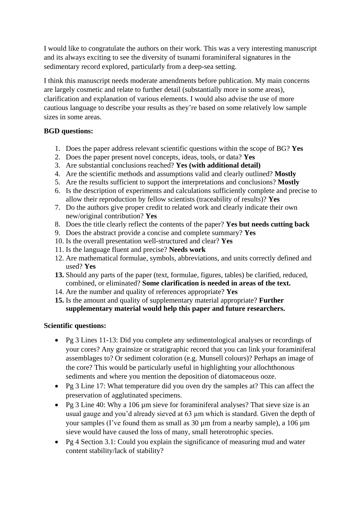I would like to congratulate the authors on their work. This was a very interesting manuscript and its always exciting to see the diversity of tsunami foraminiferal signatures in the sedimentary record explored, particularly from a deep-sea setting.

I think this manuscript needs moderate amendments before publication. My main concerns are largely cosmetic and relate to further detail (substantially more in some areas), clarification and explanation of various elements. I would also advise the use of more cautious language to describe your results as they're based on some relatively low sample sizes in some areas.

## **BGD questions:**

- 1. Does the paper address relevant scientific questions within the scope of BG? **Yes**
- 2. Does the paper present novel concepts, ideas, tools, or data? **Yes**
- 3. Are substantial conclusions reached? **Yes (with additional detail)**
- 4. Are the scientific methods and assumptions valid and clearly outlined? **Mostly**
- 5. Are the results sufficient to support the interpretations and conclusions? **Mostly**
- 6. Is the description of experiments and calculations sufficiently complete and precise to allow their reproduction by fellow scientists (traceability of results)? **Yes**
- 7. Do the authors give proper credit to related work and clearly indicate their own new/original contribution? **Yes**
- 8. Does the title clearly reflect the contents of the paper? **Yes but needs cutting back**
- 9. Does the abstract provide a concise and complete summary? **Yes**
- 10. Is the overall presentation well-structured and clear? **Yes**
- 11. Is the language fluent and precise? **Needs work**
- 12. Are mathematical formulae, symbols, abbreviations, and units correctly defined and used? **Yes**
- **13.** Should any parts of the paper (text, formulae, figures, tables) be clarified, reduced, combined, or eliminated? **Some clarification is needed in areas of the text.**
- 14. Are the number and quality of references appropriate? **Yes**
- **15.** Is the amount and quality of supplementary material appropriate? **Further supplementary material would help this paper and future researchers.**

## **Scientific questions:**

- Pg 3 Lines 11-13: Did you complete any sedimentological analyses or recordings of your cores? Any grainsize or stratigraphic record that you can link your foraminiferal assemblages to? Or sediment coloration (e.g. Munsell colours)? Perhaps an image of the core? This would be particularly useful in highlighting your allochthonous sediments and where you mention the deposition of diatomaceous ooze.
- Pg 3 Line 17: What temperature did you oven dry the samples at? This can affect the preservation of agglutinated specimens.
- Pg 3 Line 40: Why a 106 µm sieve for foraminiferal analyses? That sieve size is an usual gauge and you'd already sieved at 63 µm which is standard. Given the depth of your samples (I've found them as small as  $30 \mu$ m from a nearby sample), a  $106 \mu$ m sieve would have caused the loss of many, small heterotrophic species.
- Pg 4 Section 3.1: Could you explain the significance of measuring mud and water content stability/lack of stability?